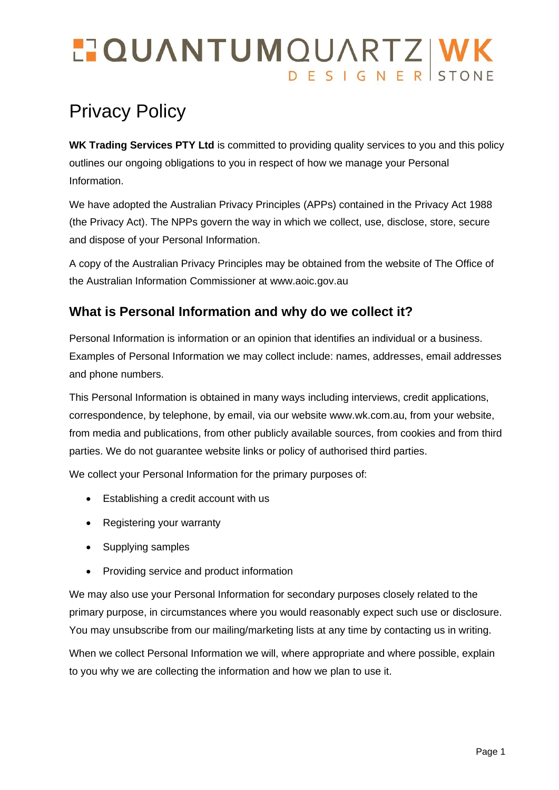# **TOUANTUMOUARTZ WK**

# Privacy Policy

WK Trading Services PTY Ltd is committed to providing quality services to you and this policy outlines our ongoing obligations to you in respect of how we manage your Personal Information.

We have adopted the Australian Privacy Principles (APPs) contained in the Privacy Act 1988 (the Privacy Act). The NPPs govern the way in which we collect, use, disclose, store, secure and dispose of your Personal Information.

A copy of the Australian Privacy Principles may be obtained from the website of The Office of the Australian Information Commissioner at www.aoic.gov.au

# **What is Personal Information and why do we collect it?**

Personal Information is information or an opinion that identifies an individual or a business. Examples of Personal Information we may collect include: names, addresses, email addresses and phone numbers.

This Personal Information is obtained in many ways including interviews, credit applications, correspondence, by telephone, by email, via our website www.wk.com.au, from your website, from media and publications, from other publicly available sources, from cookies and from third parties. We do not guarantee website links or policy of authorised third parties.

We collect your Personal Information for the primary purposes of:

- Establishing a credit account with us
- Registering your warranty
- Supplying samples
- Providing service and product information

We may also use your Personal Information for secondary purposes closely related to the primary purpose, in circumstances where you would reasonably expect such use or disclosure. You may unsubscribe from our mailing/marketing lists at any time by contacting us in writing.

When we collect Personal Information we will, where appropriate and where possible, explain to you why we are collecting the information and how we plan to use it.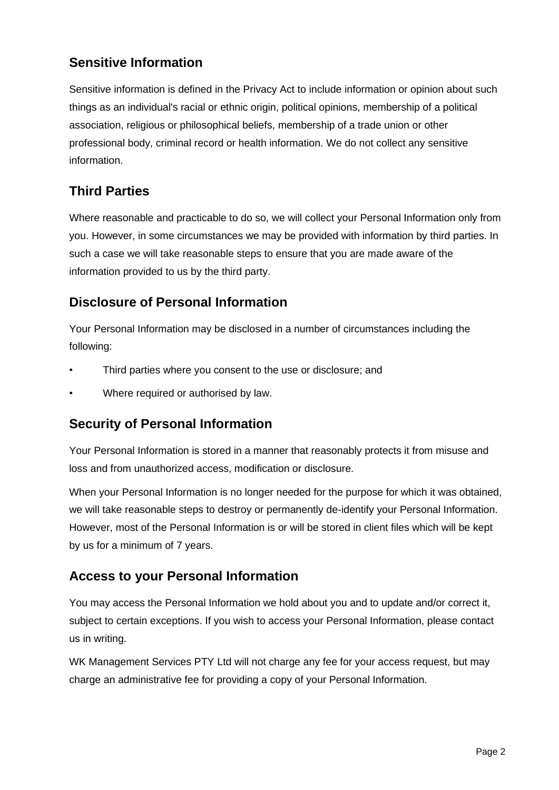#### **Sensitive Information**

Sensitive information is defined in the Privacy Act to include information or opinion about such things as an individual's racial or ethnic origin, political opinions, membership of a political association, religious or philosophical beliefs, membership of a trade union or other professional body, criminal record or health information. We do not collect any sensitive information.

# **Third Parties**

Where reasonable and practicable to do so, we will collect your Personal Information only from you. However, in some circumstances we may be provided with information by third parties. In such a case we will take reasonable steps to ensure that you are made aware of the information provided to us by the third party.

# **Disclosure of Personal Information**

Your Personal Information may be disclosed in a number of circumstances including the following:

- Third parties where you consent to the use or disclosure; and
- Where required or authorised by law.

#### **Security of Personal Information**

Your Personal Information is stored in a manner that reasonably protects it from misuse and loss and from unauthorized access, modification or disclosure.

When your Personal Information is no longer needed for the purpose for which it was obtained, we will take reasonable steps to destroy or permanently de-identify your Personal Information. However, most of the Personal Information is or will be stored in client files which will be kept by us for a minimum of 7 years.

#### **Access to your Personal Information**

You may access the Personal Information we hold about you and to update and/or correct it, subject to certain exceptions. If you wish to access your Personal Information, please contact us in writing.

WK Management Services PTY Ltd will not charge any fee for your access request, but may charge an administrative fee for providing a copy of your Personal Information.